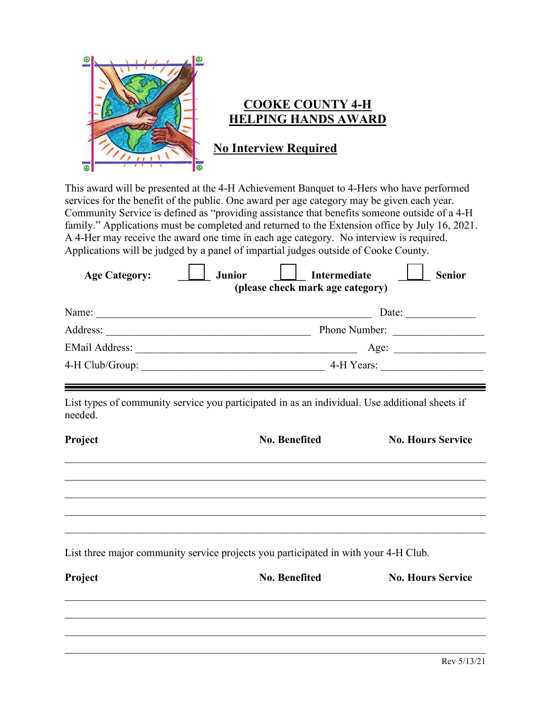

## **COOKE COUNTY 4-H HELPING HANDS AWARD**

**No Interview Required**

This award will be presented at the 4-H Achievement Banquet to 4-Hers who have performed services for the benefit of the public. One award per age category may be given each year. Community Service is defined as "providing assistance that benefits someone outside of a 4-H family." Applications must be completed and returned to the Extension office by July 16, 2021. A 4-Her may receive the award one time in each age category. No interview is required. Applications will be judged by a panel of impartial judges outside of Cooke County.

| <b>Junior</b> | Intermediate<br><b>Senior</b> |                                  |
|---------------|-------------------------------|----------------------------------|
|               | Date:                         |                                  |
| Phone Number: |                               |                                  |
|               | Age:                          |                                  |
|               | 4-H Years:                    |                                  |
|               |                               | (please check mark age category) |

List types of community service you participated in as an individual. Use additional sheets if needed.

| Project | <b>No. Benefited</b>                                                                | <b>No. Hours Service</b> |
|---------|-------------------------------------------------------------------------------------|--------------------------|
|         |                                                                                     |                          |
|         |                                                                                     |                          |
|         |                                                                                     |                          |
|         |                                                                                     |                          |
|         | List three major community service projects you participated in with your 4-H Club. |                          |

| Project | <b>No. Benefited</b> | <b>No. Hours Service</b> |
|---------|----------------------|--------------------------|
|         |                      |                          |
|         |                      |                          |
|         |                      |                          |
|         |                      |                          |